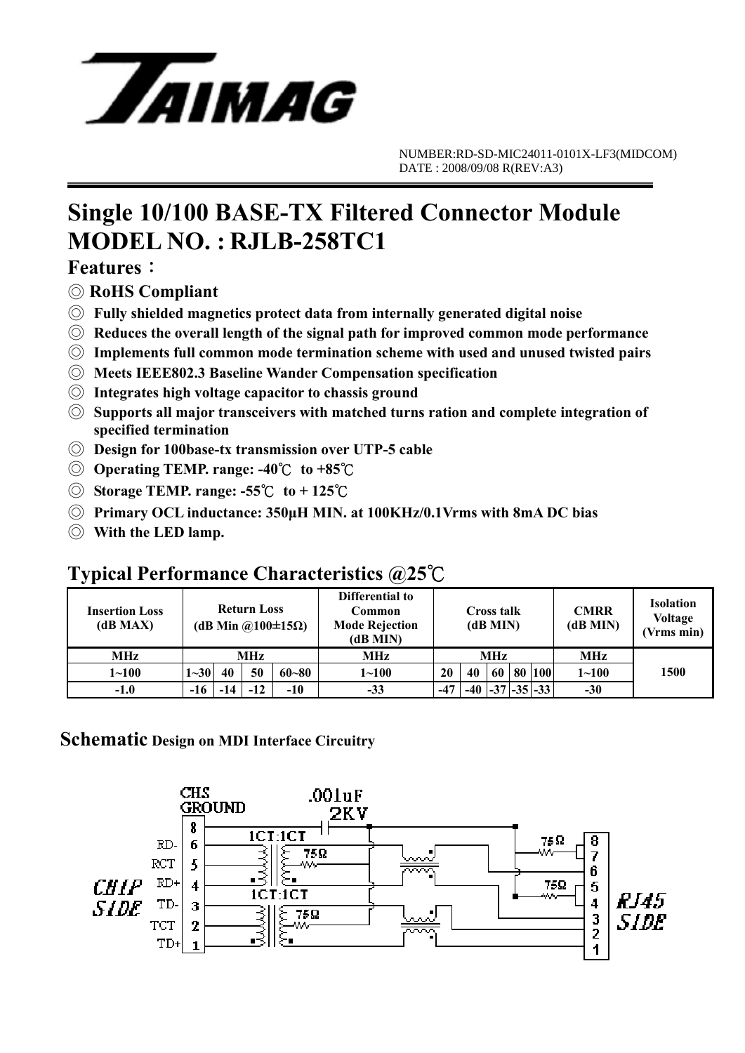

## **Single 10/100 BASE-TX Filtered Connector Module MODEL NO. : RJLB-258TC1**

### **Features**:

- ◎ **RoHS Compliant**
- ◎ **Fully shielded magnetics protect data from internally generated digital noise**
- ◎ **Reduces the overall length of the signal path for improved common mode performance**
- ◎ **Implements full common mode termination scheme with used and unused twisted pairs**
- ◎ **Meets IEEE802.3 Baseline Wander Compensation specification**
- ◎ **Integrates high voltage capacitor to chassis ground**
- ◎ **Supports all major transceivers with matched turns ration and complete integration of specified termination**
- ◎ **Design for 100base-tx transmission over UTP-5 cable**
- ◎ **Operating TEMP. range: -40**℃ **to +85**℃
- ◎ **Storage TEMP. range: -55**℃ **to + 125**℃
- ◎ **Primary OCL inductance: 350μH MIN. at 100KHz/0.1Vrms with 8mA DC bias**
- ◎ **With the LED lamp.**

### **Typical Performance Characteristics @25**℃

| <b>Insertion Loss</b><br>(dB MAX) |          | <b>Return Loss</b><br>(dB Min $\omega(100 \pm 15 \Omega)$ ) |       |           | Differential to<br>Common<br><b>Mode Rejection</b><br>(dB MIN) | Cross talk<br>(dB MIN) |       |    |    | <b>CMRR</b><br>(dB MIN) | <b>Isolation</b><br><b>Voltage</b><br>(Vrms min) |      |
|-----------------------------------|----------|-------------------------------------------------------------|-------|-----------|----------------------------------------------------------------|------------------------|-------|----|----|-------------------------|--------------------------------------------------|------|
| <b>MHz</b>                        | MHz      |                                                             |       |           | MHz                                                            | MHz                    |       |    |    |                         | MHz                                              |      |
| $1 - 100$                         | $1 - 30$ | 40                                                          | 50    | $60 - 80$ | $1 \!\!\sim\!\! 100$                                           | 20                     | 40    | 60 | 80 | <b>100</b>              | $1 - 100$                                        | 1500 |
| $-1.0$                            | $-16$    | -14                                                         | $-12$ | $-10$     | $-33$                                                          | $-47$                  | $-40$ |    |    | $-37$ $-35$ $-33$       | $-30$                                            |      |

### **Schematic Design on MDI Interface Circuitry**

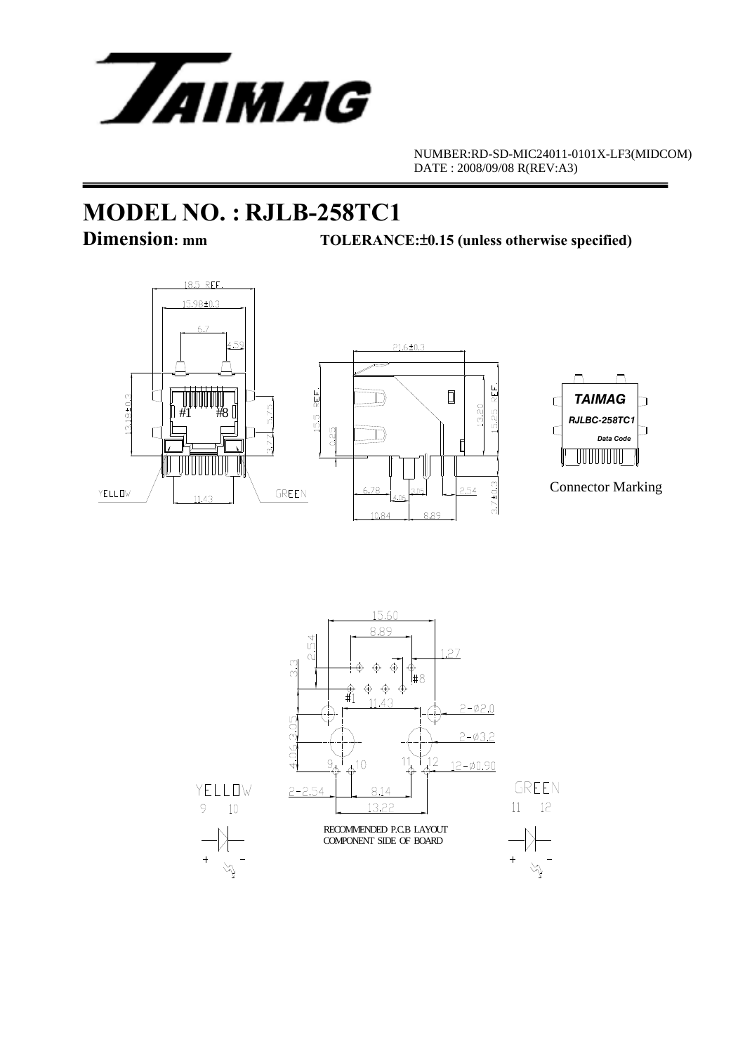

# **MODEL NO. : RJLB-258TC1**

**TOLERANCE:** $±0.15$  (unless otherwise specified)





Connector Marking

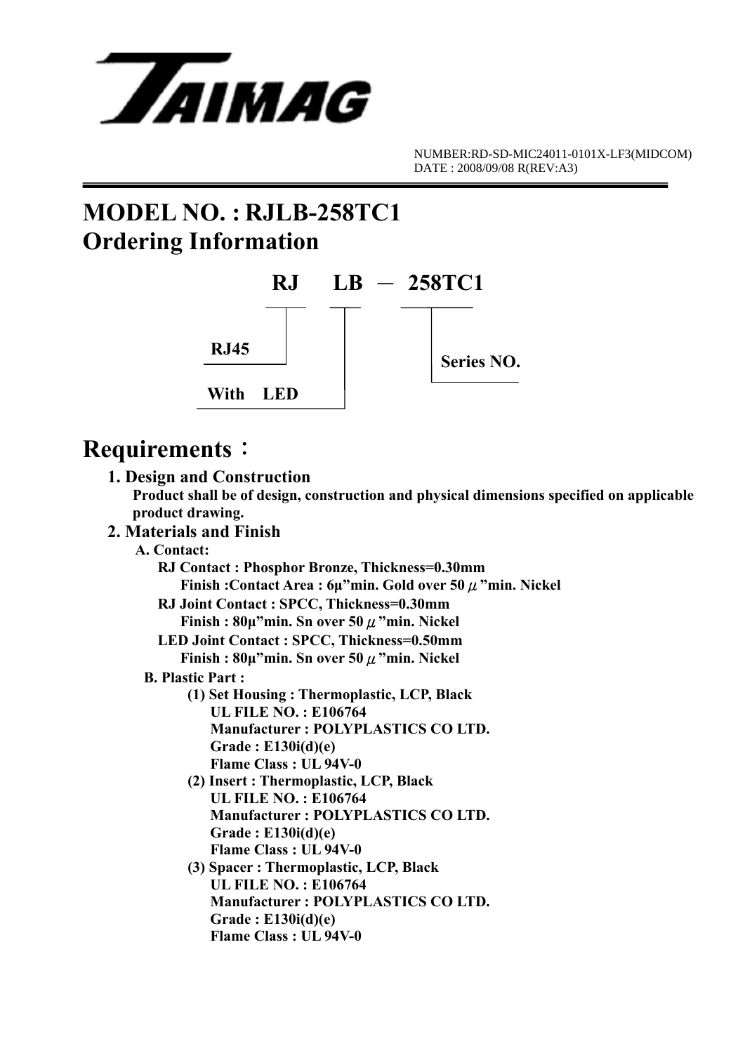

## **MODEL NO. : RJLB-258TC1 Ordering Information**



## **Requirements**:

| 1. Design and Construction                                                                                   |
|--------------------------------------------------------------------------------------------------------------|
| Product shall be of design, construction and physical dimensions specified on applicable<br>product drawing. |
| 2. Materials and Finish                                                                                      |
| A. Contact:                                                                                                  |
| RJ Contact: Phosphor Bronze, Thickness=0.30mm                                                                |
| Finish: Contact Area: $6\mu$ "min. Gold over 50 $\mu$ "min. Nickel                                           |
| RJ Joint Contact: SPCC, Thickness=0.30mm                                                                     |
| Finish: $80\mu$ "min. Sn over 50 $\mu$ "min. Nickel                                                          |
| LED Joint Contact: SPCC, Thickness=0.50mm                                                                    |
| Finish: $80\mu$ "min. Sn over 50 $\mu$ "min. Nickel                                                          |
| <b>B. Plastic Part:</b>                                                                                      |
| (1) Set Housing: Thermoplastic, LCP, Black                                                                   |
| <b>UL FILE NO.: E106764</b>                                                                                  |
| <b>Manufacturer: POLYPLASTICS CO LTD.</b>                                                                    |
| Grade: E130i(d)(e)                                                                                           |
| Flame Class: UL 94V-0                                                                                        |
| (2) Insert: Thermoplastic, LCP, Black                                                                        |
| <b>UL FILE NO.: E106764</b>                                                                                  |
| <b>Manufacturer: POLYPLASTICS CO LTD.</b>                                                                    |
| Grade: E130i(d)(e)                                                                                           |
| Flame Class: UL 94V-0                                                                                        |
| (3) Spacer: Thermoplastic, LCP, Black                                                                        |
| <b>UL FILE NO.: E106764</b>                                                                                  |
| Manufacturer: POLYPLASTICS CO LTD.                                                                           |
| Grade: $E130i(d)(e)$                                                                                         |
| <b>Flame Class: UL 94V-0</b>                                                                                 |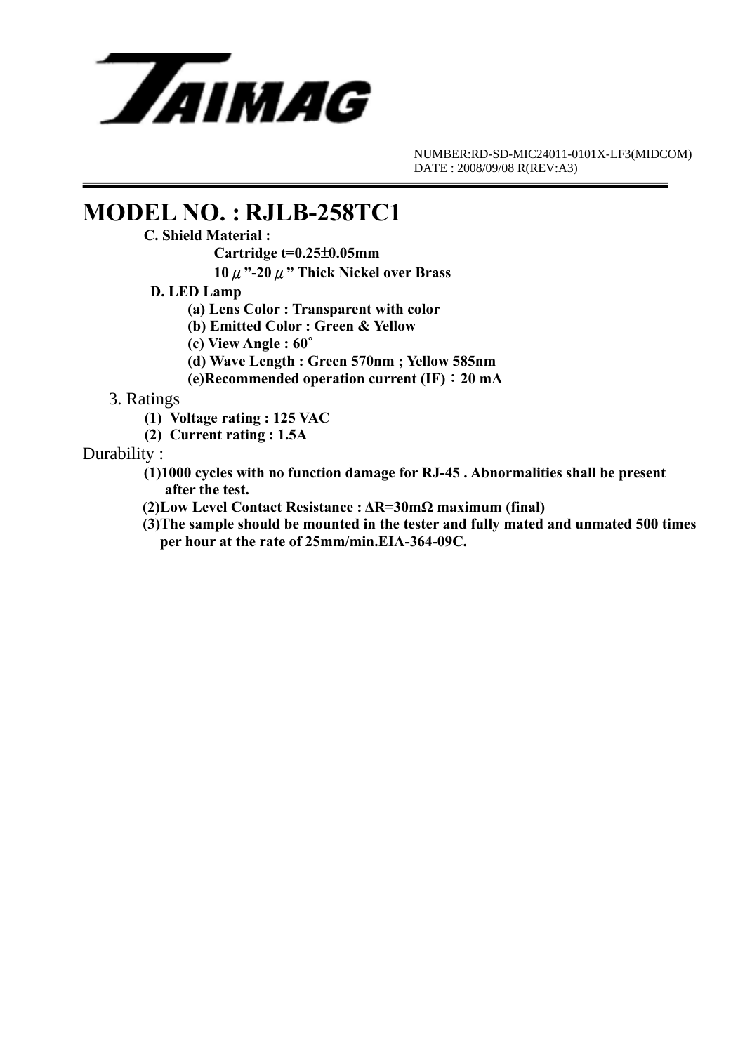

## **MODEL NO. : RJLB-258TC1**<br>C. Shield Material :

 **Cartridge t=0.25**±**0.05mm** 

 **10**μ**"-20**μ**" Thick Nickel over Brass** 

- **D. LED Lamp** 
	- **(a) Lens Color : Transparent with color**
	- **(b) Emitted Color : Green & Yellow**
	- **(c) View Angle : 60**∘
	- **(d) Wave Length : Green 570nm ; Yellow 585nm**
	- **(e)Recommended operation current (IF)**:**20 mA**

### 3. Ratings

- **(1) Voltage rating : 125 VAC**
- **(2) Current rating : 1.5A**

### Durability :

- **(1)1000 cycles with no function damage for RJ-45 . Abnormalities shall be present after the test.**
- **(2)Low Level Contact Resistance : ΔR=30mΩ maximum (final)**
- **(3)The sample should be mounted in the tester and fully mated and unmated 500 times per hour at the rate of 25mm/min.EIA-364-09C.**